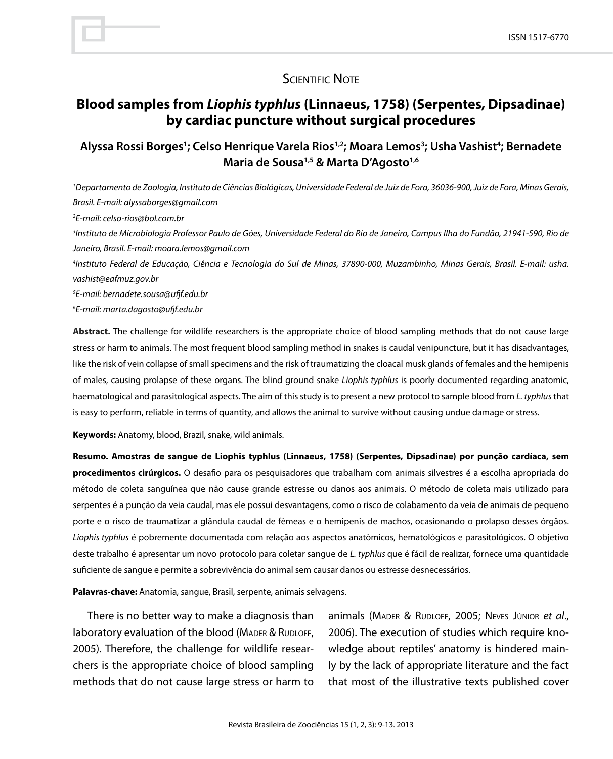## **SCIENTIFIC NOTE**

# **Blood samples from** *Liophis typhlus* **(Linnaeus, 1758) (Serpentes, Dipsadinae) by cardiac puncture without surgical procedures**

## Alyssa Rossi Borges<sup>1</sup>; Celso Henrique Varela Rios<sup>1,2</sup>; Moara Lemos<sup>3</sup>; Usha Vashist<sup>4</sup>; Bernadete **Maria de Sousa1,5 & Marta D'Agosto1,6**

*1 Departamento de Zoologia, Instituto de Ciências Biológicas, Universidade Federal de Juiz de Fora, 36036-900, Juiz de Fora, Minas Gerais, Brasil. E-mail: alyssaborges@gmail.com*

*2 E-mail: celso-rios@bol.com.br*

*3 Instituto de Microbiologia Professor Paulo de Góes, Universidade Federal do Rio de Janeiro, Campus Ilha do Fundão, 21941-590, Rio de Janeiro, Brasil. E-mail: moara.lemos@gmail.com*

*4 Instituto Federal de Educação, Ciência e Tecnologia do Sul de Minas, 37890-000, Muzambinho, Minas Gerais, Brasil. E-mail: usha. vashist@eafmuz.gov.br*

*5 E-mail: bernadete.sousa@ufjf.edu.br*

*6 E-mail: marta.dagosto@ufjf.edu.br*

**Abstract.** The challenge for wildlife researchers is the appropriate choice of blood sampling methods that do not cause large stress or harm to animals. The most frequent blood sampling method in snakes is caudal venipuncture, but it has disadvantages, like the risk of vein collapse of small specimens and the risk of traumatizing the cloacal musk glands of females and the hemipenis of males, causing prolapse of these organs. The blind ground snake *Liophis typhlus* is poorly documented regarding anatomic, haematological and parasitological aspects. The aim of this study is to present a new protocol to sample blood from *L. typhlus* that is easy to perform, reliable in terms of quantity, and allows the animal to survive without causing undue damage or stress.

**Keywords:** Anatomy, blood, Brazil, snake, wild animals.

**Resumo. Amostras de sangue de Liophis typhlus (Linnaeus, 1758) (Serpentes, Dipsadinae) por punção cardíaca, sem procedimentos cirúrgicos.** O desafio para os pesquisadores que trabalham com animais silvestres é a escolha apropriada do método de coleta sanguínea que não cause grande estresse ou danos aos animais. O método de coleta mais utilizado para serpentes é a punção da veia caudal, mas ele possui desvantagens, como o risco de colabamento da veia de animais de pequeno porte e o risco de traumatizar a glândula caudal de fêmeas e o hemipenis de machos, ocasionando o prolapso desses órgãos. *Liophis typhlus* é pobremente documentada com relação aos aspectos anatômicos, hematológicos e parasitológicos. O objetivo deste trabalho é apresentar um novo protocolo para coletar sangue de *L. typhlus* que é fácil de realizar, fornece uma quantidade suficiente de sangue e permite a sobrevivência do animal sem causar danos ou estresse desnecessários.

**Palavras-chave:** Anatomia, sangue, Brasil, serpente, animais selvagens.

There is no better way to make a diagnosis than laboratory evaluation of the blood (MADER & RUDLOFF, 2005). Therefore, the challenge for wildlife researchers is the appropriate choice of blood sampling methods that do not cause large stress or harm to

animals (Mader & Rudloff, 2005; Neves Júnior *et al*., 2006). The execution of studies which require knowledge about reptiles' anatomy is hindered mainly by the lack of appropriate literature and the fact that most of the illustrative texts published cover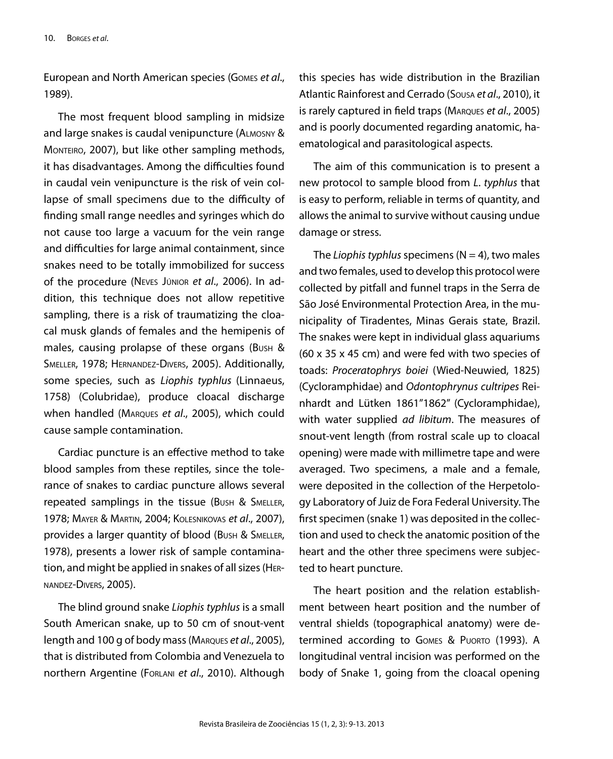European and North American species (Gomes *et al*., 1989).

The most frequent blood sampling in midsize and large snakes is caudal venipuncture (Almosny & MONTEIRO, 2007), but like other sampling methods, it has disadvantages. Among the difficulties found in caudal vein venipuncture is the risk of vein collapse of small specimens due to the difficulty of finding small range needles and syringes which do not cause too large a vacuum for the vein range and difficulties for large animal containment, since snakes need to be totally immobilized for success of the procedure (Neves Júnior *et al*., 2006). In addition, this technique does not allow repetitive sampling, there is a risk of traumatizing the cloacal musk glands of females and the hemipenis of males, causing prolapse of these organs (Bush & Smeller, 1978; Hernandez-Divers, 2005). Additionally, some species, such as *Liophis typhlus* (Linnaeus, 1758) (Colubridae), produce cloacal discharge when handled (Marques *et al*., 2005), which could cause sample contamination.

Cardiac puncture is an effective method to take blood samples from these reptiles, since the tolerance of snakes to cardiac puncture allows several repeated samplings in the tissue (Bush & Smeller, 1978; Mayer & Martin, 2004; Kolesnikovas *et al*., 2007), provides a larger quantity of blood (Bush & Smeller, 1978), presents a lower risk of sample contamination, and might be applied in snakes of all sizes (Hernandez-Divers, 2005).

The blind ground snake *Liophis typhlus* is a small South American snake, up to 50 cm of snout-vent length and 100 g of body mass (Marques *et al*., 2005), that is distributed from Colombia and Venezuela to northern Argentine (Forlani *et al*., 2010). Although this species has wide distribution in the Brazilian Atlantic Rainforest and Cerrado (Sousa *et al*., 2010), it is rarely captured in field traps (Marques *et al*., 2005) and is poorly documented regarding anatomic, haematological and parasitological aspects.

The aim of this communication is to present a new protocol to sample blood from *L*. *typhlus* that is easy to perform, reliable in terms of quantity, and allows the animal to survive without causing undue damage or stress.

The *Liophis typhlus* specimens  $(N = 4)$ , *two males* and two females, used to develop this protocol were collected by pitfall and funnel traps in the Serra de São José Environmental Protection Area, in the municipality of Tiradentes, Minas Gerais state, Brazil. The snakes were kept in individual glass aquariums (60 x 35 x 45 cm) and were fed with two species of toads: *Proceratophrys boiei* (Wied-Neuwied, 1825) (Cycloramphidae) and *Odontophrynus cultripes* Reinhardt and Lütken 1861"1862" (Cycloramphidae), with water supplied *ad libitum*. The measures of snout-vent length (from rostral scale up to cloacal opening) were made with millimetre tape and were averaged. Two specimens, a male and a female, were deposited in the collection of the Herpetology Laboratory of Juiz de Fora Federal University. The first specimen (snake 1) was deposited in the collection and used to check the anatomic position of the heart and the other three specimens were subjected to heart puncture.

The heart position and the relation establishment between heart position and the number of ventral shields (topographical anatomy) were determined according to GOMES & PUORTO (1993). A longitudinal ventral incision was performed on the body of Snake 1, going from the cloacal opening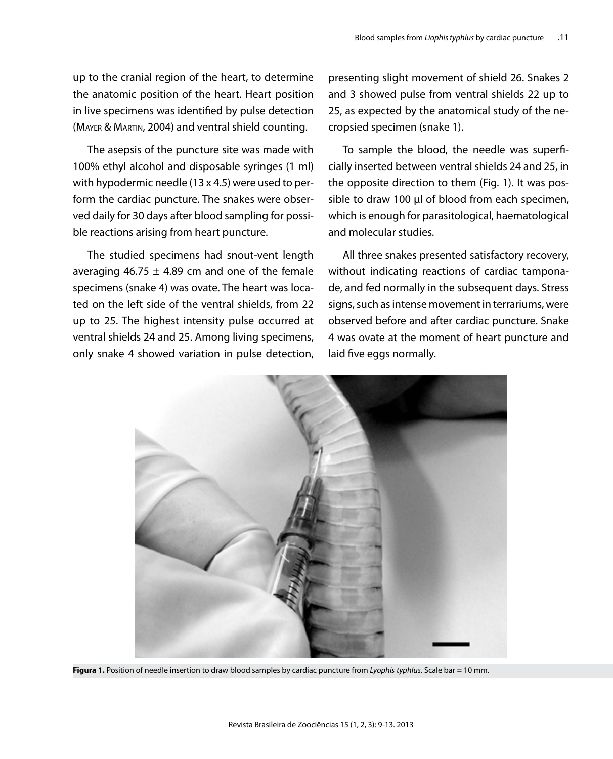## up to the cranial region of the heart, to determine the anatomic position of the heart. Heart position in live specimens was identified by pulse detection (Mayer & Martin, 2004) and ventral shield counting.

The asepsis of the puncture site was made with 100% ethyl alcohol and disposable syringes (1 ml) with hypodermic needle (13 x 4.5) were used to perform the cardiac puncture. The snakes were observed daily for 30 days after blood sampling for possible reactions arising from heart puncture.

The studied specimens had snout-vent length averaging 46.75  $\pm$  4.89 cm and one of the female specimens (snake 4) was ovate. The heart was located on the left side of the ventral shields, from 22 up to 25. The highest intensity pulse occurred at ventral shields 24 and 25. Among living specimens, only snake 4 showed variation in pulse detection, presenting slight movement of shield 26. Snakes 2 and 3 showed pulse from ventral shields 22 up to 25, as expected by the anatomical study of the necropsied specimen (snake 1).

To sample the blood, the needle was superficially inserted between ventral shields 24 and 25, in the opposite direction to them (Fig. 1). It was possible to draw 100 µl of blood from each specimen, which is enough for parasitological, haematological and molecular studies.

All three snakes presented satisfactory recovery, without indicating reactions of cardiac tamponade, and fed normally in the subsequent days. Stress signs, such as intense movement in terrariums, were observed before and after cardiac puncture. Snake 4 was ovate at the moment of heart puncture and laid five eggs normally.



**Figura 1.** Position of needle insertion to draw blood samples by cardiac puncture from *Lyophis typhlus*. Scale bar = 10 mm.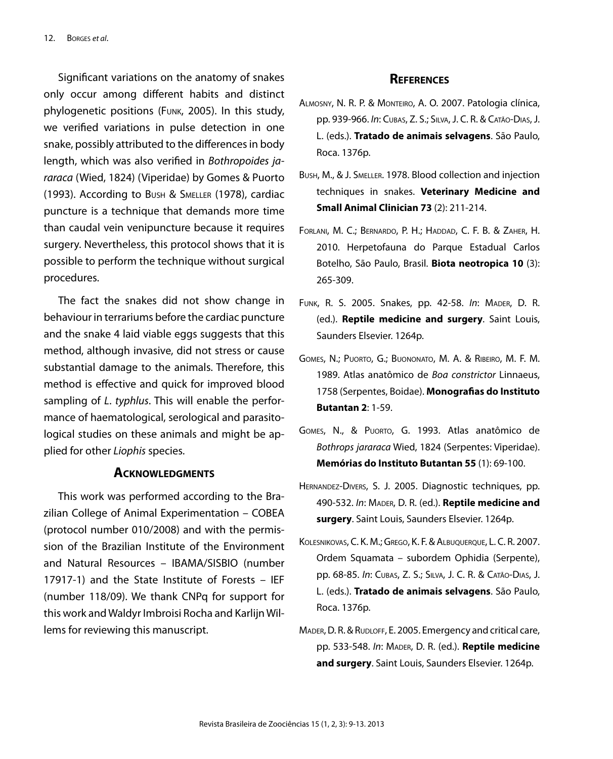Significant variations on the anatomy of snakes only occur among different habits and distinct phylogenetic positions (Funk, 2005). In this study, we verified variations in pulse detection in one snake, possibly attributed to the differences in body length, which was also verified in *Bothropoides jararaca* (Wied, 1824) (Viperidae) by Gomes & Puorto (1993). According to Bush & Smeller (1978), cardiac puncture is a technique that demands more time than caudal vein venipuncture because it requires surgery. Nevertheless, this protocol shows that it is possible to perform the technique without surgical procedures.

The fact the snakes did not show change in behaviour in terrariums before the cardiac puncture and the snake 4 laid viable eggs suggests that this method, although invasive, did not stress or cause substantial damage to the animals. Therefore, this method is effective and quick for improved blood sampling of *L*. *typhlus*. This will enable the performance of haematological, serological and parasitological studies on these animals and might be applied for other *Liophis* species.

### **Acknowledgments**

This work was performed according to the Brazilian College of Animal Experimentation – COBEA (protocol number 010/2008) and with the permission of the Brazilian Institute of the Environment and Natural Resources – IBAMA/SISBIO (number 17917-1) and the State Institute of Forests – IEF (number 118/09). We thank CNPq for support for this work and Waldyr Imbroisi Rocha and Karlijn Willems for reviewing this manuscript.

#### **References**

- Almosny, N. R. P. & Monteiro, A. O. 2007. Patologia clínica, pp. 939-966. *In*: Cubas, Z. S.; Silva, J. C. R. & Catão-Dias, J. L. (eds.). **Tratado de animais selvagens**. São Paulo, Roca. 1376p.
- Bush, M., & J. Smeller. 1978. Blood collection and injection techniques in snakes. **Veterinary Medicine and Small Animal Clinician 73** (2): 211-214.
- Forlani, M. C.; Bernardo, P. H.; Haddad, C. F. B. & Zaher, H. 2010. Herpetofauna do Parque Estadual Carlos Botelho, São Paulo, Brasil. **Biota neotropica 10** (3): 265-309.
- Funk, R. S. 2005. Snakes, pp. 42-58. *In*: Mader, D. R. (ed.). **Reptile medicine and surgery**. Saint Louis, Saunders Elsevier. 1264p.
- Gomes, N.; Puorto, G.; Buononato, M. A. & Ribeiro, M. F. M. 1989. Atlas anatômico de *Boa constrictor* Linnaeus, 1758 (Serpentes, Boidae). **Monografias do Instituto Butantan 2**: 1-59.
- Gomes, N., & Puorto, G. 1993. Atlas anatômico de *Bothrops jararaca* Wied, 1824 (Serpentes: Viperidae). **Memórias do Instituto Butantan 55** (1): 69-100.
- Hernandez-Divers, S. J. 2005. Diagnostic techniques, pp. 490-532. *In*: Mader, D. R. (ed.). **Reptile medicine and surgery**. Saint Louis, Saunders Elsevier. 1264p.
- Kolesnikovas, C. K. M.; Grego, K. F. & Albuquerque, L. C. R. 2007. Ordem Squamata – subordem Ophidia (Serpente), pp. 68-85. *In*: Cubas, Z. S.; Silva, J. C. R. & Catão-Dias, J. L. (eds.). **Tratado de animais selvagens**. São Paulo, Roca. 1376p.
- MADER, D. R. & RUDLOFF, E. 2005. Emergency and critical care, pp. 533-548. *In*: Mader, D. R. (ed.). **Reptile medicine and surgery**. Saint Louis, Saunders Elsevier. 1264p.